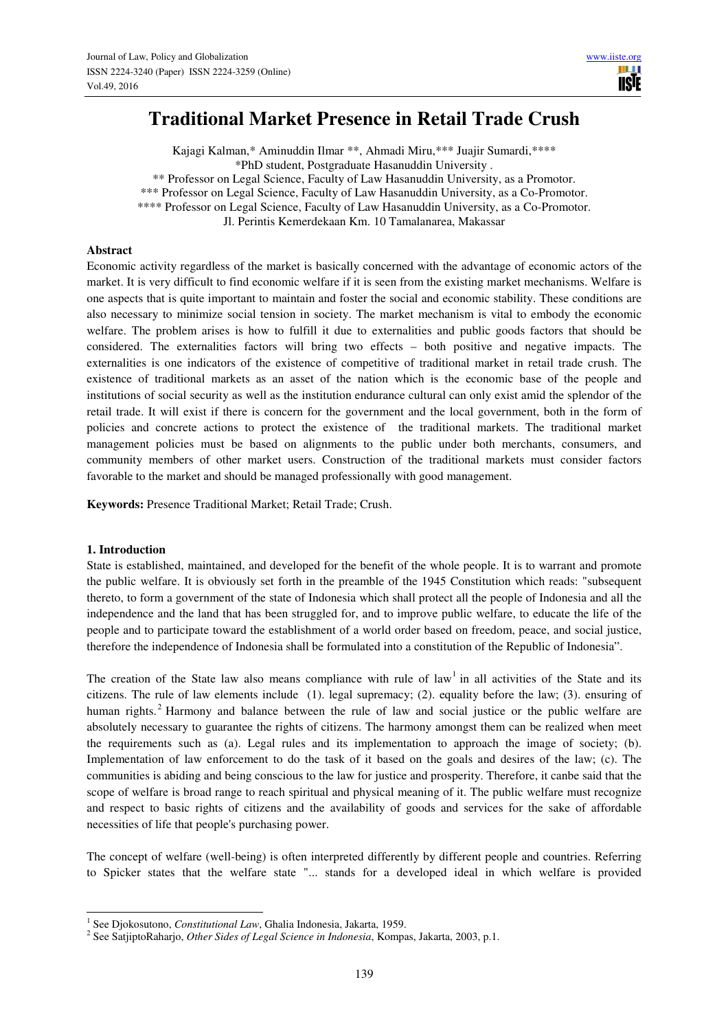# **Traditional Market Presence in Retail Trade Crush**

Kajagi Kalman,\* Aminuddin Ilmar \*\*, Ahmadi Miru,\*\*\* Juajir Sumardi,\*\*\*\* \*PhD student, Postgraduate Hasanuddin University . \*\* Professor on Legal Science, Faculty of Law Hasanuddin University, as a Promotor. \*\*\* Professor on Legal Science, Faculty of Law Hasanuddin University, as a Co-Promotor. \*\*\*\* Professor on Legal Science, Faculty of Law Hasanuddin University, as a Co-Promotor.

Jl. Perintis Kemerdekaan Km. 10 Tamalanarea, Makassar

### **Abstract**

Economic activity regardless of the market is basically concerned with the advantage of economic actors of the market. It is very difficult to find economic welfare if it is seen from the existing market mechanisms. Welfare is one aspects that is quite important to maintain and foster the social and economic stability. These conditions are also necessary to minimize social tension in society. The market mechanism is vital to embody the economic welfare. The problem arises is how to fulfill it due to externalities and public goods factors that should be considered. The externalities factors will bring two effects – both positive and negative impacts. The externalities is one indicators of the existence of competitive of traditional market in retail trade crush. The existence of traditional markets as an asset of the nation which is the economic base of the people and institutions of social security as well as the institution endurance cultural can only exist amid the splendor of the retail trade. It will exist if there is concern for the government and the local government, both in the form of policies and concrete actions to protect the existence of the traditional markets. The traditional market management policies must be based on alignments to the public under both merchants, consumers, and community members of other market users. Construction of the traditional markets must consider factors favorable to the market and should be managed professionally with good management.

**Keywords:** Presence Traditional Market; Retail Trade; Crush.

### **1. Introduction**

State is established, maintained, and developed for the benefit of the whole people. It is to warrant and promote the public welfare. It is obviously set forth in the preamble of the 1945 Constitution which reads: "subsequent thereto, to form a government of the state of Indonesia which shall protect all the people of Indonesia and all the independence and the land that has been struggled for, and to improve public welfare, to educate the life of the people and to participate toward the establishment of a world order based on freedom, peace, and social justice, therefore the independence of Indonesia shall be formulated into a constitution of the Republic of Indonesia".

The creation of the State law also means compliance with rule of  $\text{law}^1$  in all activities of the State and its citizens. The rule of law elements include (1). legal supremacy; (2). equality before the law; (3). ensuring of human rights.<sup>2</sup> Harmony and balance between the rule of law and social justice or the public welfare are absolutely necessary to guarantee the rights of citizens. The harmony amongst them can be realized when meet the requirements such as (a). Legal rules and its implementation to approach the image of society; (b). Implementation of law enforcement to do the task of it based on the goals and desires of the law; (c). The communities is abiding and being conscious to the law for justice and prosperity. Therefore, it canbe said that the scope of welfare is broad range to reach spiritual and physical meaning of it. The public welfare must recognize and respect to basic rights of citizens and the availability of goods and services for the sake of affordable necessities of life that people's purchasing power.

The concept of welfare (well-being) is often interpreted differently by different people and countries. Referring to Spicker states that the welfare state "... stands for a developed ideal in which welfare is provided

 1 See Djokosutono, *Constitutional Law*, Ghalia Indonesia, Jakarta, 1959.

<sup>2</sup> See SatjiptoRaharjo, *Other Sides of Legal Science in Indonesia*, Kompas, Jakarta, 2003, p.1.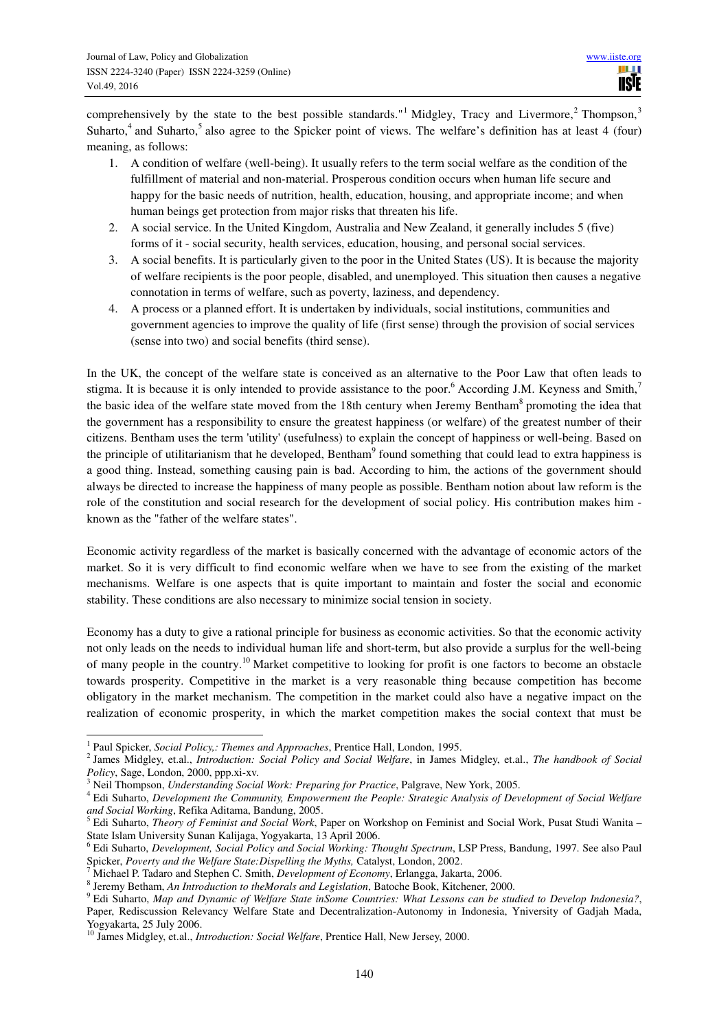comprehensively by the state to the best possible standards."<sup>1</sup> Midgley, Tracy and Livermore,<sup>2</sup> Thompson,<sup>3</sup> Suharto,<sup>4</sup> and Suharto,<sup>5</sup> also agree to the Spicker point of views. The welfare's definition has at least 4 (four) meaning, as follows:

- 1. A condition of welfare (well-being). It usually refers to the term social welfare as the condition of the fulfillment of material and non-material. Prosperous condition occurs when human life secure and happy for the basic needs of nutrition, health, education, housing, and appropriate income; and when human beings get protection from major risks that threaten his life.
- 2. A social service. In the United Kingdom, Australia and New Zealand, it generally includes 5 (five) forms of it - social security, health services, education, housing, and personal social services.
- 3. A social benefits. It is particularly given to the poor in the United States (US). It is because the majority of welfare recipients is the poor people, disabled, and unemployed. This situation then causes a negative connotation in terms of welfare, such as poverty, laziness, and dependency.
- 4. A process or a planned effort. It is undertaken by individuals, social institutions, communities and government agencies to improve the quality of life (first sense) through the provision of social services (sense into two) and social benefits (third sense).

In the UK, the concept of the welfare state is conceived as an alternative to the Poor Law that often leads to stigma. It is because it is only intended to provide assistance to the poor.<sup>6</sup> According J.M. Keyness and Smith,<sup>7</sup> the basic idea of the welfare state moved from the 18th century when Jeremy Bentham<sup>8</sup> promoting the idea that the government has a responsibility to ensure the greatest happiness (or welfare) of the greatest number of their citizens. Bentham uses the term 'utility' (usefulness) to explain the concept of happiness or well-being. Based on the principle of utilitarianism that he developed, Bentham<sup>9</sup> found something that could lead to extra happiness is a good thing. Instead, something causing pain is bad. According to him, the actions of the government should always be directed to increase the happiness of many people as possible. Bentham notion about law reform is the role of the constitution and social research for the development of social policy. His contribution makes him known as the "father of the welfare states".

Economic activity regardless of the market is basically concerned with the advantage of economic actors of the market. So it is very difficult to find economic welfare when we have to see from the existing of the market mechanisms. Welfare is one aspects that is quite important to maintain and foster the social and economic stability. These conditions are also necessary to minimize social tension in society.

Economy has a duty to give a rational principle for business as economic activities. So that the economic activity not only leads on the needs to individual human life and short-term, but also provide a surplus for the well-being of many people in the country.<sup>10</sup> Market competitive to looking for profit is one factors to become an obstacle towards prosperity. Competitive in the market is a very reasonable thing because competition has become obligatory in the market mechanism. The competition in the market could also have a negative impact on the realization of economic prosperity, in which the market competition makes the social context that must be

 1 Paul Spicker, *Social Policy,: Themes and Approaches*, Prentice Hall, London, 1995.

<sup>2</sup> James Midgley, et.al., *Introduction: Social Policy and Social Welfare*, in James Midgley, et.al., *The handbook of Social Policy*, Sage, London, 2000, ppp.xi-xv.

<sup>3</sup> Neil Thompson, *Understanding Social Work: Preparing for Practice*, Palgrave, New York, 2005.

<sup>4</sup> Edi Suharto, *Development the Community, Empowerment the People: Strategic Analysis of Development of Social Welfare and Social Working*, Refika Aditama, Bandung, 2005.

<sup>5</sup> Edi Suharto, *Theory of Feminist and Social Work*, Paper on Workshop on Feminist and Social Work, Pusat Studi Wanita – State Islam University Sunan Kalijaga, Yogyakarta, 13 April 2006.

<sup>6</sup> Edi Suharto, *Development, Social Policy and Social Working: Thought Spectrum*, LSP Press, Bandung, 1997. See also Paul Spicker, *Poverty and the Welfare State:Dispelling the Myths,* Catalyst, London, 2002.<br><sup>7</sup> Michael P. Tadaro and Stephen C. Smith, *Davelopment of Economy*, Erlangea, Jakar

Michael P. Tadaro and Stephen C. Smith, *Development of Economy*, Erlangga, Jakarta, 2006.

<sup>8</sup> Jeremy Betham, *An Introduction to theMorals and Legislation*, Batoche Book, Kitchener, 2000.

<sup>9</sup> Edi Suharto, *Map and Dynamic of Welfare State inSome Countries: What Lessons can be studied to Develop Indonesia?*, Paper, Rediscussion Relevancy Welfare State and Decentralization-Autonomy in Indonesia, Yniversity of Gadjah Mada, Yogyakarta, 25 July 2006.

<sup>10</sup> James Midgley, et.al., *Introduction: Social Welfare*, Prentice Hall, New Jersey, 2000.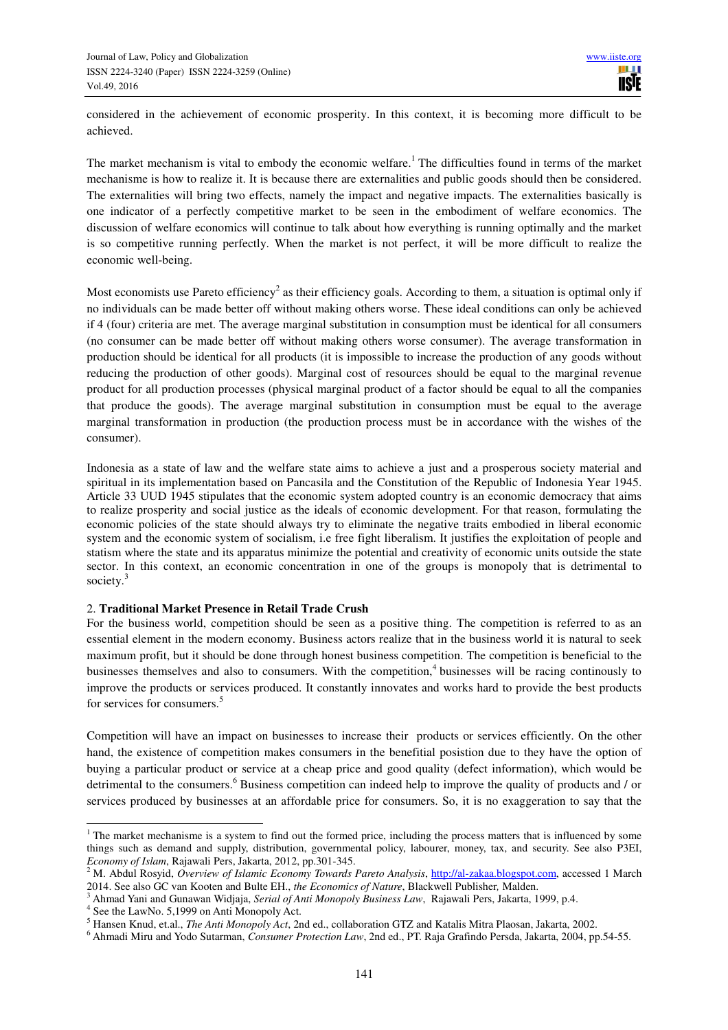considered in the achievement of economic prosperity. In this context, it is becoming more difficult to be achieved.

The market mechanism is vital to embody the economic welfare.<sup>1</sup> The difficulties found in terms of the market mechanisme is how to realize it. It is because there are externalities and public goods should then be considered. The externalities will bring two effects, namely the impact and negative impacts. The externalities basically is one indicator of a perfectly competitive market to be seen in the embodiment of welfare economics. The discussion of welfare economics will continue to talk about how everything is running optimally and the market is so competitive running perfectly. When the market is not perfect, it will be more difficult to realize the economic well-being.

Most economists use Pareto efficiency<sup>2</sup> as their efficiency goals. According to them, a situation is optimal only if no individuals can be made better off without making others worse. These ideal conditions can only be achieved if 4 (four) criteria are met. The average marginal substitution in consumption must be identical for all consumers (no consumer can be made better off without making others worse consumer). The average transformation in production should be identical for all products (it is impossible to increase the production of any goods without reducing the production of other goods). Marginal cost of resources should be equal to the marginal revenue product for all production processes (physical marginal product of a factor should be equal to all the companies that produce the goods). The average marginal substitution in consumption must be equal to the average marginal transformation in production (the production process must be in accordance with the wishes of the consumer).

Indonesia as a state of law and the welfare state aims to achieve a just and a prosperous society material and spiritual in its implementation based on Pancasila and the Constitution of the Republic of Indonesia Year 1945. Article 33 UUD 1945 stipulates that the economic system adopted country is an economic democracy that aims to realize prosperity and social justice as the ideals of economic development. For that reason, formulating the economic policies of the state should always try to eliminate the negative traits embodied in liberal economic system and the economic system of socialism, i.e free fight liberalism. It justifies the exploitation of people and statism where the state and its apparatus minimize the potential and creativity of economic units outside the state sector. In this context, an economic concentration in one of the groups is monopoly that is detrimental to society.<sup>3</sup>

### 2. **Traditional Market Presence in Retail Trade Crush**

For the business world, competition should be seen as a positive thing. The competition is referred to as an essential element in the modern economy. Business actors realize that in the business world it is natural to seek maximum profit, but it should be done through honest business competition. The competition is beneficial to the businesses themselves and also to consumers. With the competition,<sup>4</sup> businesses will be racing continously to improve the products or services produced. It constantly innovates and works hard to provide the best products for services for consumers.<sup>5</sup>

Competition will have an impact on businesses to increase their products or services efficiently. On the other hand, the existence of competition makes consumers in the benefitial posistion due to they have the option of buying a particular product or service at a cheap price and good quality (defect information), which would be detrimental to the consumers.<sup>6</sup> Business competition can indeed help to improve the quality of products and / or services produced by businesses at an affordable price for consumers. So, it is no exaggeration to say that the

 $\overline{a}$ 

 $1$ <sup>1</sup> The market mechanisme is a system to find out the formed price, including the process matters that is influenced by some things such as demand and supply, distribution, governmental policy, labourer, money, tax, and security. See also P3EI, *Economy of Islam*, Rajawali Pers, Jakarta, 2012, pp.301-345.

<sup>2</sup> M. Abdul Rosyid, *Overview of Islamic Economy Towards Pareto Analysis*, http://al-zakaa.blogspot.com, accessed 1 March 2014. See also GC van Kooten and Bulte EH., *the Economics of Nature*, Blackwell Publisher*,* Malden.

<sup>3</sup> Ahmad Yani and Gunawan Widjaja, *Serial of Anti Monopoly Business Law*, Rajawali Pers, Jakarta, 1999, p.4.

<sup>4</sup> See the LawNo. 5,1999 on Anti Monopoly Act.

<sup>5</sup> Hansen Knud, et.al., *The Anti Monopoly Act*, 2nd ed., collaboration GTZ and Katalis Mitra Plaosan, Jakarta, 2002.

<sup>6</sup> Ahmadi Miru and Yodo Sutarman, *Consumer Protection Law*, 2nd ed., PT. Raja Grafindo Persda, Jakarta, 2004, pp.54-55.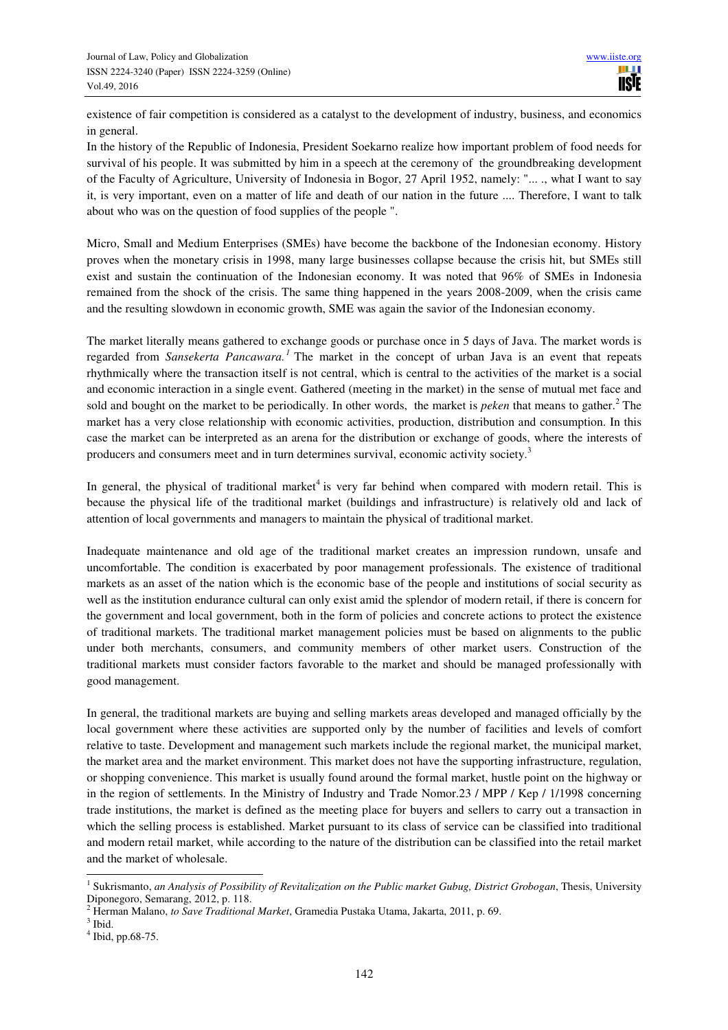existence of fair competition is considered as a catalyst to the development of industry, business, and economics in general.

In the history of the Republic of Indonesia, President Soekarno realize how important problem of food needs for survival of his people. It was submitted by him in a speech at the ceremony of the groundbreaking development of the Faculty of Agriculture, University of Indonesia in Bogor, 27 April 1952, namely: "... ., what I want to say it, is very important, even on a matter of life and death of our nation in the future .... Therefore, I want to talk about who was on the question of food supplies of the people ".

Micro, Small and Medium Enterprises (SMEs) have become the backbone of the Indonesian economy. History proves when the monetary crisis in 1998, many large businesses collapse because the crisis hit, but SMEs still exist and sustain the continuation of the Indonesian economy. It was noted that 96% of SMEs in Indonesia remained from the shock of the crisis. The same thing happened in the years 2008-2009, when the crisis came and the resulting slowdown in economic growth, SME was again the savior of the Indonesian economy.

The market literally means gathered to exchange goods or purchase once in 5 days of Java. The market words is regarded from *Sansekerta Pancawara*.<sup>1</sup> The market in the concept of urban Java is an event that repeats rhythmically where the transaction itself is not central, which is central to the activities of the market is a social and economic interaction in a single event. Gathered (meeting in the market) in the sense of mutual met face and sold and bought on the market to be periodically. In other words, the market is *peken* that means to gather.<sup>2</sup> The market has a very close relationship with economic activities, production, distribution and consumption. In this case the market can be interpreted as an arena for the distribution or exchange of goods, where the interests of producers and consumers meet and in turn determines survival, economic activity society.<sup>3</sup>

In general, the physical of traditional market<sup>4</sup> is very far behind when compared with modern retail. This is because the physical life of the traditional market (buildings and infrastructure) is relatively old and lack of attention of local governments and managers to maintain the physical of traditional market.

Inadequate maintenance and old age of the traditional market creates an impression rundown, unsafe and uncomfortable. The condition is exacerbated by poor management professionals. The existence of traditional markets as an asset of the nation which is the economic base of the people and institutions of social security as well as the institution endurance cultural can only exist amid the splendor of modern retail, if there is concern for the government and local government, both in the form of policies and concrete actions to protect the existence of traditional markets. The traditional market management policies must be based on alignments to the public under both merchants, consumers, and community members of other market users. Construction of the traditional markets must consider factors favorable to the market and should be managed professionally with good management.

In general, the traditional markets are buying and selling markets areas developed and managed officially by the local government where these activities are supported only by the number of facilities and levels of comfort relative to taste. Development and management such markets include the regional market, the municipal market, the market area and the market environment. This market does not have the supporting infrastructure, regulation, or shopping convenience. This market is usually found around the formal market, hustle point on the highway or in the region of settlements. In the Ministry of Industry and Trade Nomor.23 / MPP / Kep / 1/1998 concerning trade institutions, the market is defined as the meeting place for buyers and sellers to carry out a transaction in which the selling process is established. Market pursuant to its class of service can be classified into traditional and modern retail market, while according to the nature of the distribution can be classified into the retail market and the market of wholesale.

 1 Sukrismanto, *an Analysis of Possibility of Revitalization on the Public market Gubug, District Grobogan*, Thesis, University Diponegoro, Semarang, 2012, p. 118.

<sup>2</sup> Herman Malano, *to Save Traditional Market*, Gramedia Pustaka Utama, Jakarta, 2011, p. 69.

 $3$  Ibid.

<sup>4</sup> Ibid, pp.68-75.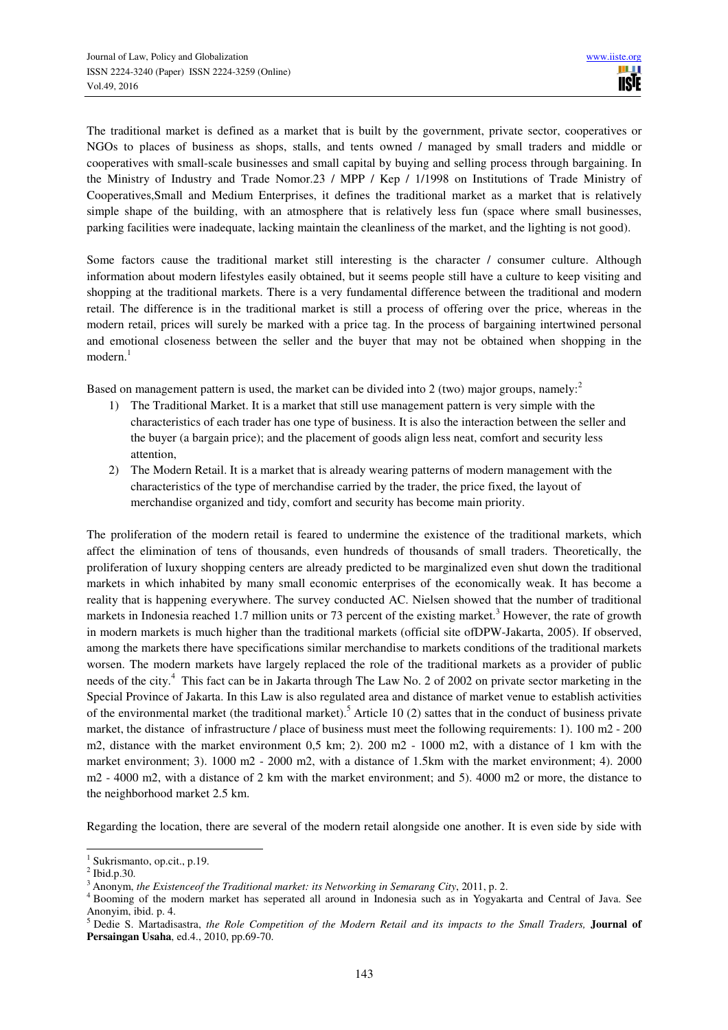The traditional market is defined as a market that is built by the government, private sector, cooperatives or NGOs to places of business as shops, stalls, and tents owned / managed by small traders and middle or cooperatives with small-scale businesses and small capital by buying and selling process through bargaining. In the Ministry of Industry and Trade Nomor.23 / MPP / Kep / 1/1998 on Institutions of Trade Ministry of Cooperatives,Small and Medium Enterprises, it defines the traditional market as a market that is relatively simple shape of the building, with an atmosphere that is relatively less fun (space where small businesses, parking facilities were inadequate, lacking maintain the cleanliness of the market, and the lighting is not good).

Some factors cause the traditional market still interesting is the character / consumer culture. Although information about modern lifestyles easily obtained, but it seems people still have a culture to keep visiting and shopping at the traditional markets. There is a very fundamental difference between the traditional and modern retail. The difference is in the traditional market is still a process of offering over the price, whereas in the modern retail, prices will surely be marked with a price tag. In the process of bargaining intertwined personal and emotional closeness between the seller and the buyer that may not be obtained when shopping in the modern.<sup>1</sup>

Based on management pattern is used, the market can be divided into 2 (two) major groups, namely:<sup>2</sup>

- 1) The Traditional Market. It is a market that still use management pattern is very simple with the characteristics of each trader has one type of business. It is also the interaction between the seller and the buyer (a bargain price); and the placement of goods align less neat, comfort and security less attention,
- 2) The Modern Retail. It is a market that is already wearing patterns of modern management with the characteristics of the type of merchandise carried by the trader, the price fixed, the layout of merchandise organized and tidy, comfort and security has become main priority.

The proliferation of the modern retail is feared to undermine the existence of the traditional markets, which affect the elimination of tens of thousands, even hundreds of thousands of small traders. Theoretically, the proliferation of luxury shopping centers are already predicted to be marginalized even shut down the traditional markets in which inhabited by many small economic enterprises of the economically weak. It has become a reality that is happening everywhere. The survey conducted AC. Nielsen showed that the number of traditional markets in Indonesia reached 1.7 million units or 73 percent of the existing market.<sup>3</sup> However, the rate of growth in modern markets is much higher than the traditional markets (official site ofDPW-Jakarta, 2005). If observed, among the markets there have specifications similar merchandise to markets conditions of the traditional markets worsen. The modern markets have largely replaced the role of the traditional markets as a provider of public needs of the city.<sup>4</sup> This fact can be in Jakarta through The Law No. 2 of 2002 on private sector marketing in the Special Province of Jakarta. In this Law is also regulated area and distance of market venue to establish activities of the environmental market (the traditional market).<sup>5</sup> Article 10 (2) sattes that in the conduct of business private market, the distance of infrastructure / place of business must meet the following requirements: 1). 100 m2 - 200 m2, distance with the market environment 0,5 km; 2). 200 m2 - 1000 m2, with a distance of 1 km with the market environment; 3). 1000 m2 - 2000 m2, with a distance of 1.5km with the market environment; 4). 2000 m2 - 4000 m2, with a distance of 2 km with the market environment; and 5). 4000 m2 or more, the distance to the neighborhood market 2.5 km.

Regarding the location, there are several of the modern retail alongside one another. It is even side by side with

 $\overline{a}$ 

<sup>1</sup> Sukrismanto, op.cit., p.19.

 $^2$  Ibid.p.30.

Anonym, *the Existenceof the Traditional market: its Networking in Semarang City*, 2011, p. 2.

<sup>&</sup>lt;sup>4</sup> Booming of the modern market has seperated all around in Indonesia such as in Yogyakarta and Central of Java. See Anonyim, ibid. p. 4.<br><sup>5</sup> Dedie S. Martadisastra, *the Role Competition of the Modern Retail and its impacts to the Small Traders, Journal of* 

**Persaingan Usaha**, ed.4., 2010, pp.69-70.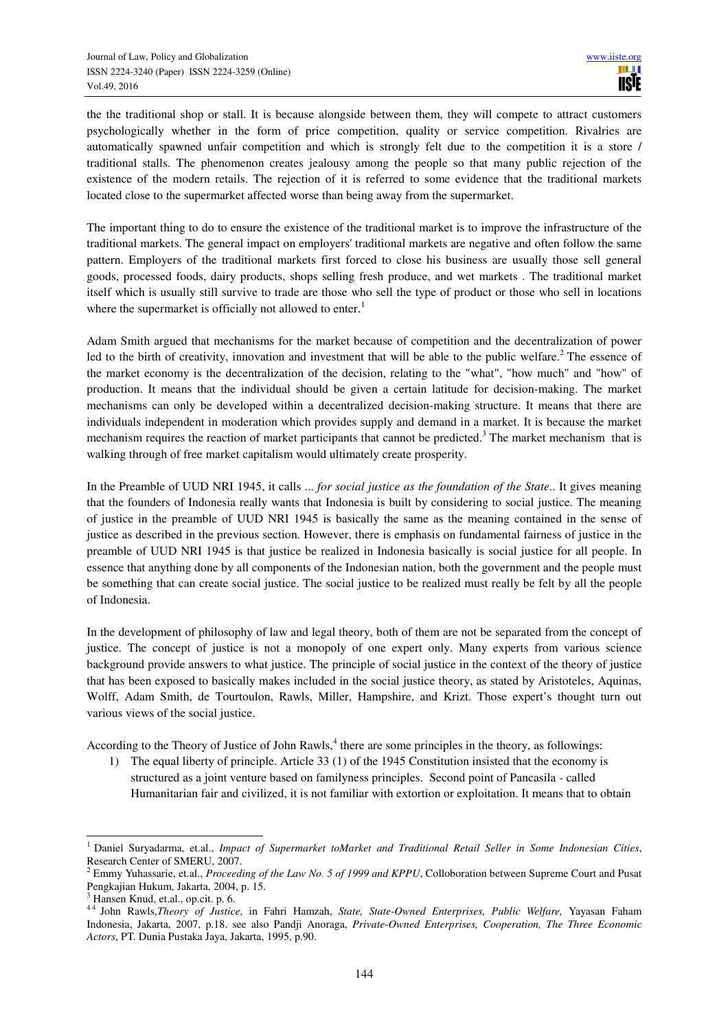the the traditional shop or stall. It is because alongside between them, they will compete to attract customers psychologically whether in the form of price competition, quality or service competition. Rivalries are automatically spawned unfair competition and which is strongly felt due to the competition it is a store / traditional stalls. The phenomenon creates jealousy among the people so that many public rejection of the existence of the modern retails. The rejection of it is referred to some evidence that the traditional markets located close to the supermarket affected worse than being away from the supermarket.

The important thing to do to ensure the existence of the traditional market is to improve the infrastructure of the traditional markets. The general impact on employers' traditional markets are negative and often follow the same pattern. Employers of the traditional markets first forced to close his business are usually those sell general goods, processed foods, dairy products, shops selling fresh produce, and wet markets . The traditional market itself which is usually still survive to trade are those who sell the type of product or those who sell in locations where the supermarket is officially not allowed to enter.<sup>1</sup>

Adam Smith argued that mechanisms for the market because of competition and the decentralization of power led to the birth of creativity, innovation and investment that will be able to the public welfare.<sup>2</sup> The essence of the market economy is the decentralization of the decision, relating to the "what", "how much" and "how" of production. It means that the individual should be given a certain latitude for decision-making. The market mechanisms can only be developed within a decentralized decision-making structure. It means that there are individuals independent in moderation which provides supply and demand in a market. It is because the market mechanism requires the reaction of market participants that cannot be predicted.<sup>3</sup> The market mechanism that is walking through of free market capitalism would ultimately create prosperity.

In the Preamble of UUD NRI 1945, it calls ... *for social justice as the foundation of the State*.. It gives meaning that the founders of Indonesia really wants that Indonesia is built by considering to social justice. The meaning of justice in the preamble of UUD NRI 1945 is basically the same as the meaning contained in the sense of justice as described in the previous section. However, there is emphasis on fundamental fairness of justice in the preamble of UUD NRI 1945 is that justice be realized in Indonesia basically is social justice for all people. In essence that anything done by all components of the Indonesian nation, both the government and the people must be something that can create social justice. The social justice to be realized must really be felt by all the people of Indonesia.

In the development of philosophy of law and legal theory, both of them are not be separated from the concept of justice. The concept of justice is not a monopoly of one expert only. Many experts from various science background provide answers to what justice. The principle of social justice in the context of the theory of justice that has been exposed to basically makes included in the social justice theory, as stated by Aristoteles, Aquinas, Wolff, Adam Smith, de Tourtoulon, Rawls, Miller, Hampshire, and Krizt. Those expert's thought turn out various views of the social justice.

According to the Theory of Justice of John Rawls, $<sup>4</sup>$  there are some principles in the theory, as followings:</sup>

1) The equal liberty of principle. Article 33 (1) of the 1945 Constitution insisted that the economy is structured as a joint venture based on familyness principles. Second point of Pancasila - called Humanitarian fair and civilized, it is not familiar with extortion or exploitation. It means that to obtain

 $\overline{a}$ 1 Daniel Suryadarma, et.al., *Impact of Supermarket toMarket and Traditional Retail Seller in Some Indonesian Cities*, Research Center of SMERU, 2007.

<sup>2</sup> Emmy Yuhassarie, et.al., *Proceeding of the Law No. 5 of 1999 and KPPU*, Colloboration between Supreme Court and Pusat Pengkajian Hukum, Jakarta, 2004, p. 15.

<sup>3</sup> Hansen Knud, et.al., op.cit. p. 6.

<sup>4 4</sup> John Rawls,*Theory of Justice*, in Fahri Hamzah, *State, State-Owned Enterprises, Public Welfare,* Yayasan Faham Indonesia, Jakarta, 2007, p.18. see also Pandji Anoraga, *Private-Owned Enterprises, Cooperation, The Three Economic Actors*, PT. Dunia Pustaka Jaya, Jakarta, 1995, p.90.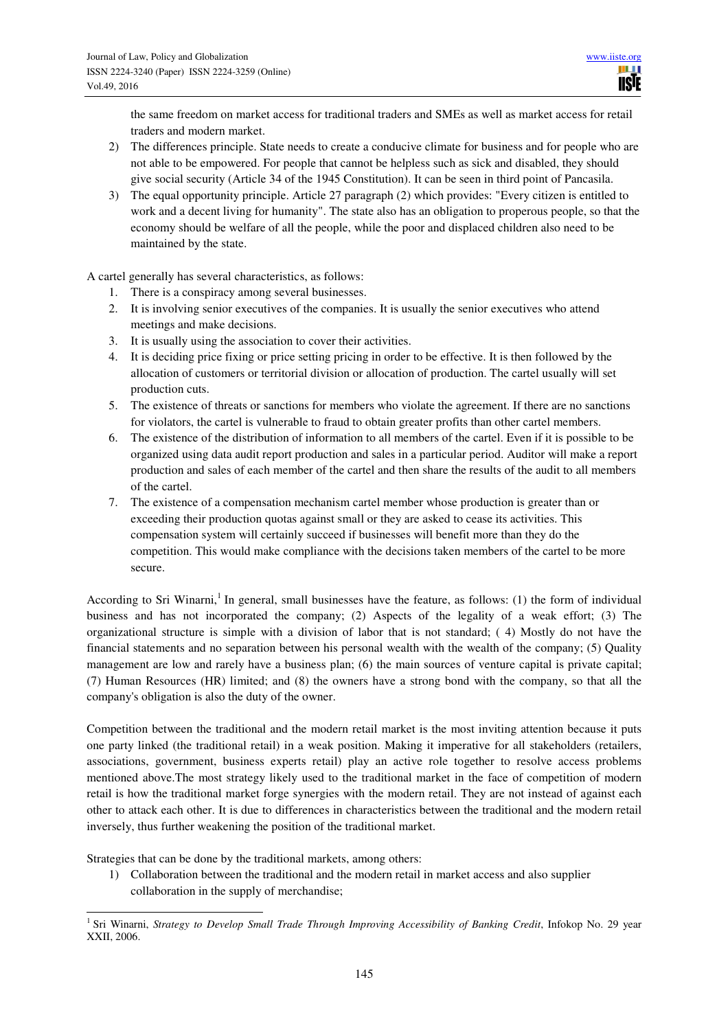the same freedom on market access for traditional traders and SMEs as well as market access for retail traders and modern market.

- 2) The differences principle. State needs to create a conducive climate for business and for people who are not able to be empowered. For people that cannot be helpless such as sick and disabled, they should give social security (Article 34 of the 1945 Constitution). It can be seen in third point of Pancasila.
- 3) The equal opportunity principle. Article 27 paragraph (2) which provides: "Every citizen is entitled to work and a decent living for humanity". The state also has an obligation to properous people, so that the economy should be welfare of all the people, while the poor and displaced children also need to be maintained by the state.

A cartel generally has several characteristics, as follows:

- 1. There is a conspiracy among several businesses.
- 2. It is involving senior executives of the companies. It is usually the senior executives who attend meetings and make decisions.
- 3. It is usually using the association to cover their activities.
- 4. It is deciding price fixing or price setting pricing in order to be effective. It is then followed by the allocation of customers or territorial division or allocation of production. The cartel usually will set production cuts.
- 5. The existence of threats or sanctions for members who violate the agreement. If there are no sanctions for violators, the cartel is vulnerable to fraud to obtain greater profits than other cartel members.
- 6. The existence of the distribution of information to all members of the cartel. Even if it is possible to be organized using data audit report production and sales in a particular period. Auditor will make a report production and sales of each member of the cartel and then share the results of the audit to all members of the cartel.
- 7. The existence of a compensation mechanism cartel member whose production is greater than or exceeding their production quotas against small or they are asked to cease its activities. This compensation system will certainly succeed if businesses will benefit more than they do the competition. This would make compliance with the decisions taken members of the cartel to be more secure.

According to Sri Winarni,<sup>1</sup> In general, small businesses have the feature, as follows: (1) the form of individual business and has not incorporated the company; (2) Aspects of the legality of a weak effort; (3) The organizational structure is simple with a division of labor that is not standard; ( 4) Mostly do not have the financial statements and no separation between his personal wealth with the wealth of the company; (5) Quality management are low and rarely have a business plan; (6) the main sources of venture capital is private capital; (7) Human Resources (HR) limited; and (8) the owners have a strong bond with the company, so that all the company's obligation is also the duty of the owner.

Competition between the traditional and the modern retail market is the most inviting attention because it puts one party linked (the traditional retail) in a weak position. Making it imperative for all stakeholders (retailers, associations, government, business experts retail) play an active role together to resolve access problems mentioned above.The most strategy likely used to the traditional market in the face of competition of modern retail is how the traditional market forge synergies with the modern retail. They are not instead of against each other to attack each other. It is due to differences in characteristics between the traditional and the modern retail inversely, thus further weakening the position of the traditional market.

Strategies that can be done by the traditional markets, among others:

1) Collaboration between the traditional and the modern retail in market access and also supplier collaboration in the supply of merchandise;

 1 Sri Winarni, *Strategy to Develop Small Trade Through Improving Accessibility of Banking Credit*, Infokop No. 29 year XXII, 2006.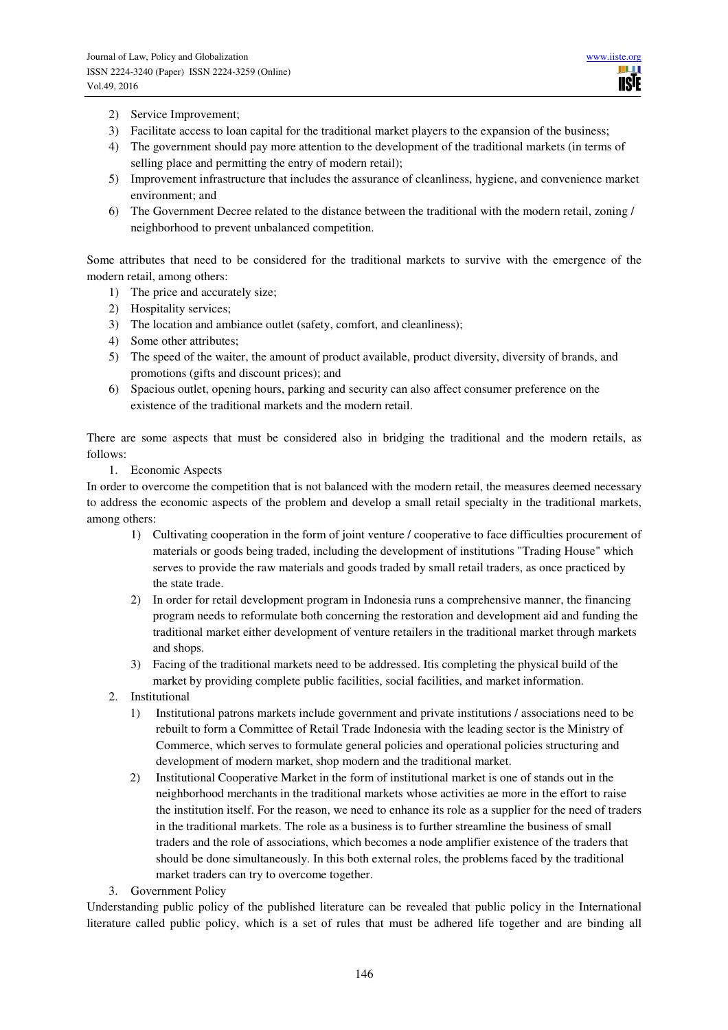- 2) Service Improvement;
- 3) Facilitate access to loan capital for the traditional market players to the expansion of the business;
- 4) The government should pay more attention to the development of the traditional markets (in terms of selling place and permitting the entry of modern retail);
- 5) Improvement infrastructure that includes the assurance of cleanliness, hygiene, and convenience market environment; and
- 6) The Government Decree related to the distance between the traditional with the modern retail, zoning / neighborhood to prevent unbalanced competition.

Some attributes that need to be considered for the traditional markets to survive with the emergence of the modern retail, among others:

- 1) The price and accurately size;
- 2) Hospitality services;
- 3) The location and ambiance outlet (safety, comfort, and cleanliness);
- 4) Some other attributes;
- 5) The speed of the waiter, the amount of product available, product diversity, diversity of brands, and promotions (gifts and discount prices); and
- 6) Spacious outlet, opening hours, parking and security can also affect consumer preference on the existence of the traditional markets and the modern retail.

There are some aspects that must be considered also in bridging the traditional and the modern retails, as follows:

1. Economic Aspects

In order to overcome the competition that is not balanced with the modern retail, the measures deemed necessary to address the economic aspects of the problem and develop a small retail specialty in the traditional markets, among others:

- 1) Cultivating cooperation in the form of joint venture / cooperative to face difficulties procurement of materials or goods being traded, including the development of institutions "Trading House" which serves to provide the raw materials and goods traded by small retail traders, as once practiced by the state trade.
- 2) In order for retail development program in Indonesia runs a comprehensive manner, the financing program needs to reformulate both concerning the restoration and development aid and funding the traditional market either development of venture retailers in the traditional market through markets and shops.
- 3) Facing of the traditional markets need to be addressed. Itis completing the physical build of the market by providing complete public facilities, social facilities, and market information.
- 2. Institutional
	- 1) Institutional patrons markets include government and private institutions / associations need to be rebuilt to form a Committee of Retail Trade Indonesia with the leading sector is the Ministry of Commerce, which serves to formulate general policies and operational policies structuring and development of modern market, shop modern and the traditional market.
	- 2) Institutional Cooperative Market in the form of institutional market is one of stands out in the neighborhood merchants in the traditional markets whose activities ae more in the effort to raise the institution itself. For the reason, we need to enhance its role as a supplier for the need of traders in the traditional markets. The role as a business is to further streamline the business of small traders and the role of associations, which becomes a node amplifier existence of the traders that should be done simultaneously. In this both external roles, the problems faced by the traditional market traders can try to overcome together.
- 3. Government Policy

Understanding public policy of the published literature can be revealed that public policy in the International literature called public policy, which is a set of rules that must be adhered life together and are binding all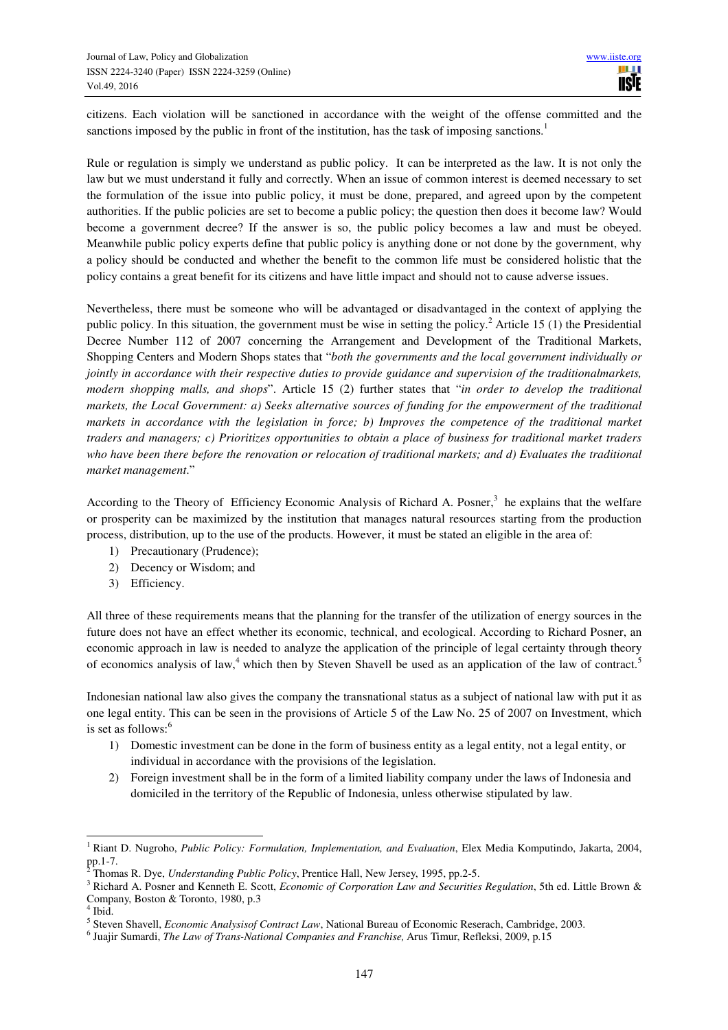citizens. Each violation will be sanctioned in accordance with the weight of the offense committed and the sanctions imposed by the public in front of the institution, has the task of imposing sanctions.<sup>1</sup>

Rule or regulation is simply we understand as public policy. It can be interpreted as the law. It is not only the law but we must understand it fully and correctly. When an issue of common interest is deemed necessary to set the formulation of the issue into public policy, it must be done, prepared, and agreed upon by the competent authorities. If the public policies are set to become a public policy; the question then does it become law? Would become a government decree? If the answer is so, the public policy becomes a law and must be obeyed. Meanwhile public policy experts define that public policy is anything done or not done by the government, why a policy should be conducted and whether the benefit to the common life must be considered holistic that the policy contains a great benefit for its citizens and have little impact and should not to cause adverse issues.

Nevertheless, there must be someone who will be advantaged or disadvantaged in the context of applying the public policy. In this situation, the government must be wise in setting the policy.<sup>2</sup> Article 15 (1) the Presidential Decree Number 112 of 2007 concerning the Arrangement and Development of the Traditional Markets, Shopping Centers and Modern Shops states that "*both the governments and the local government individually or jointly in accordance with their respective duties to provide guidance and supervision of the traditionalmarkets, modern shopping malls, and shops*". Article 15 (2) further states that "*in order to develop the traditional markets, the Local Government: a) Seeks alternative sources of funding for the empowerment of the traditional markets in accordance with the legislation in force; b) Improves the competence of the traditional market traders and managers; c) Prioritizes opportunities to obtain a place of business for traditional market traders who have been there before the renovation or relocation of traditional markets; and d) Evaluates the traditional market management*."

According to the Theory of Efficiency Economic Analysis of Richard A. Posner,<sup>3</sup> he explains that the welfare or prosperity can be maximized by the institution that manages natural resources starting from the production process, distribution, up to the use of the products. However, it must be stated an eligible in the area of:

- 1) Precautionary (Prudence);
- 2) Decency or Wisdom; and
- 3) Efficiency.

All three of these requirements means that the planning for the transfer of the utilization of energy sources in the future does not have an effect whether its economic, technical, and ecological. According to Richard Posner, an economic approach in law is needed to analyze the application of the principle of legal certainty through theory of economics analysis of law,<sup>4</sup> which then by Steven Shavell be used as an application of the law of contract.<sup>5</sup>

Indonesian national law also gives the company the transnational status as a subject of national law with put it as one legal entity. This can be seen in the provisions of Article 5 of the Law No. 25 of 2007 on Investment, which is set as follows:<sup>6</sup>

- 1) Domestic investment can be done in the form of business entity as a legal entity, not a legal entity, or individual in accordance with the provisions of the legislation.
- 2) Foreign investment shall be in the form of a limited liability company under the laws of Indonesia and domiciled in the territory of the Republic of Indonesia, unless otherwise stipulated by law.

 $\overline{a}$ 

<sup>&</sup>lt;sup>1</sup> Riant D. Nugroho, *Public Policy: Formulation, Implementation, and Evaluation*, Elex Media Komputindo, Jakarta, 2004, pp.1-7.<br><sup>2</sup> Thom:

Thomas R. Dye, *Understanding Public Policy*, Prentice Hall, New Jersey, 1995, pp.2-5.

<sup>3</sup> Richard A. Posner and Kenneth E. Scott, *Economic of Corporation Law and Securities Regulation*, 5th ed. Little Brown & Company, Boston & Toronto, 1980, p.3

<sup>4</sup> Ibid.

<sup>5</sup> Steven Shavell, *Economic Analysisof Contract Law*, National Bureau of Economic Reserach, Cambridge, 2003.

<sup>6</sup> Juajir Sumardi, *The Law of Trans-National Companies and Franchise,* Arus Timur, Refleksi, 2009, p.15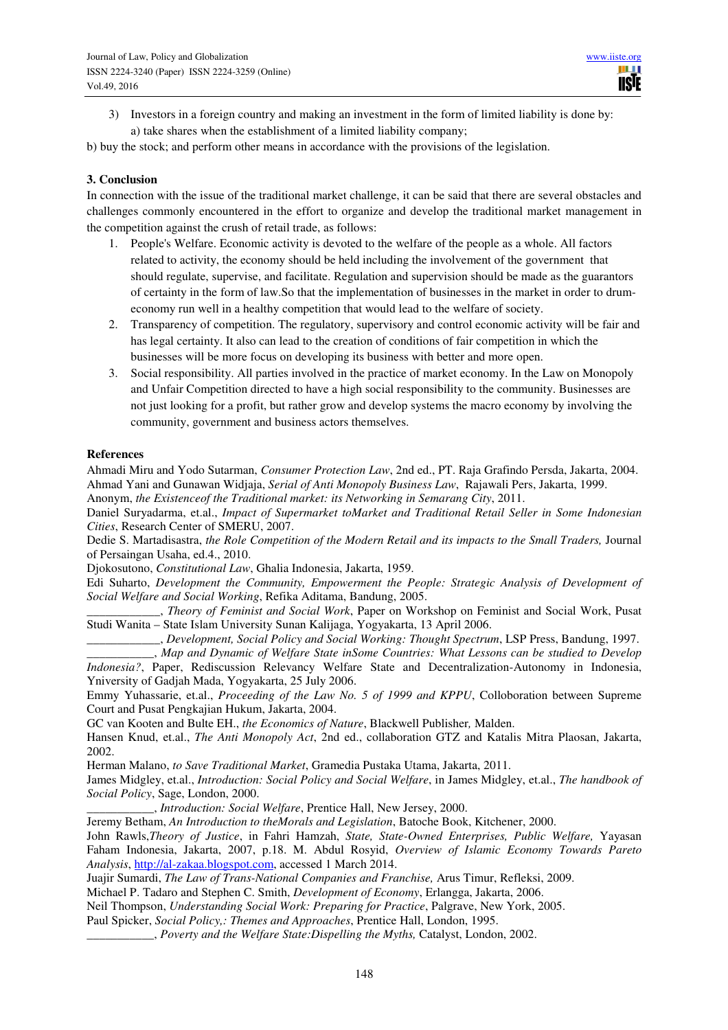3) Investors in a foreign country and making an investment in the form of limited liability is done by: a) take shares when the establishment of a limited liability company;

b) buy the stock; and perform other means in accordance with the provisions of the legislation.

## **3. Conclusion**

In connection with the issue of the traditional market challenge, it can be said that there are several obstacles and challenges commonly encountered in the effort to organize and develop the traditional market management in the competition against the crush of retail trade, as follows:

- 1. People's Welfare. Economic activity is devoted to the welfare of the people as a whole. All factors related to activity, the economy should be held including the involvement of the government that should regulate, supervise, and facilitate. Regulation and supervision should be made as the guarantors of certainty in the form of law.So that the implementation of businesses in the market in order to drumeconomy run well in a healthy competition that would lead to the welfare of society.
- 2. Transparency of competition. The regulatory, supervisory and control economic activity will be fair and has legal certainty. It also can lead to the creation of conditions of fair competition in which the businesses will be more focus on developing its business with better and more open.
- 3. Social responsibility. All parties involved in the practice of market economy. In the Law on Monopoly and Unfair Competition directed to have a high social responsibility to the community. Businesses are not just looking for a profit, but rather grow and develop systems the macro economy by involving the community, government and business actors themselves.

### **References**

Ahmadi Miru and Yodo Sutarman, *Consumer Protection Law*, 2nd ed., PT. Raja Grafindo Persda, Jakarta, 2004. Ahmad Yani and Gunawan Widjaja, *Serial of Anti Monopoly Business Law*, Rajawali Pers, Jakarta, 1999. Anonym, *the Existenceof the Traditional market: its Networking in Semarang City*, 2011.

Daniel Suryadarma, et.al., *Impact of Supermarket toMarket and Traditional Retail Seller in Some Indonesian Cities*, Research Center of SMERU, 2007.

Dedie S. Martadisastra, *the Role Competition of the Modern Retail and its impacts to the Small Traders,* Journal of Persaingan Usaha, ed.4., 2010.

Djokosutono, *Constitutional Law*, Ghalia Indonesia, Jakarta, 1959.

Edi Suharto, *Development the Community, Empowerment the People: Strategic Analysis of Development of Social Welfare and Social Working*, Refika Aditama, Bandung, 2005.

\_\_\_\_\_\_\_\_\_\_\_\_, *Theory of Feminist and Social Work*, Paper on Workshop on Feminist and Social Work, Pusat Studi Wanita – State Islam University Sunan Kalijaga, Yogyakarta, 13 April 2006.

\_\_\_\_\_\_\_\_\_\_\_\_, *Development, Social Policy and Social Working: Thought Spectrum*, LSP Press, Bandung, 1997.

\_\_\_\_\_\_\_\_\_\_\_, *Map and Dynamic of Welfare State inSome Countries: What Lessons can be studied to Develop Indonesia?*, Paper, Rediscussion Relevancy Welfare State and Decentralization-Autonomy in Indonesia, Yniversity of Gadjah Mada, Yogyakarta, 25 July 2006.

Emmy Yuhassarie, et.al., *Proceeding of the Law No. 5 of 1999 and KPPU*, Colloboration between Supreme Court and Pusat Pengkajian Hukum, Jakarta, 2004.

GC van Kooten and Bulte EH., *the Economics of Nature*, Blackwell Publisher*,* Malden.

Hansen Knud, et.al., *The Anti Monopoly Act*, 2nd ed., collaboration GTZ and Katalis Mitra Plaosan, Jakarta, 2002.

Herman Malano, *to Save Traditional Market*, Gramedia Pustaka Utama, Jakarta, 2011.

James Midgley, et.al., *Introduction: Social Policy and Social Welfare*, in James Midgley, et.al., *The handbook of Social Policy*, Sage, London, 2000.

\_\_\_\_\_\_\_\_\_\_\_, *Introduction: Social Welfare*, Prentice Hall, New Jersey, 2000.

Jeremy Betham, *An Introduction to theMorals and Legislation*, Batoche Book, Kitchener, 2000.

John Rawls,*Theory of Justice*, in Fahri Hamzah, *State, State-Owned Enterprises, Public Welfare,* Yayasan Faham Indonesia, Jakarta, 2007, p.18. M. Abdul Rosyid, *Overview of Islamic Economy Towards Pareto Analysis*, http://al-zakaa.blogspot.com, accessed 1 March 2014.

Juajir Sumardi, *The Law of Trans-National Companies and Franchise,* Arus Timur, Refleksi, 2009.

Michael P. Tadaro and Stephen C. Smith, *Development of Economy*, Erlangga, Jakarta, 2006.

Neil Thompson, *Understanding Social Work: Preparing for Practice*, Palgrave, New York, 2005.

Paul Spicker, *Social Policy,: Themes and Approaches*, Prentice Hall, London, 1995.

\_\_\_\_\_\_\_\_\_\_\_, *Poverty and the Welfare State:Dispelling the Myths,* Catalyst, London, 2002.